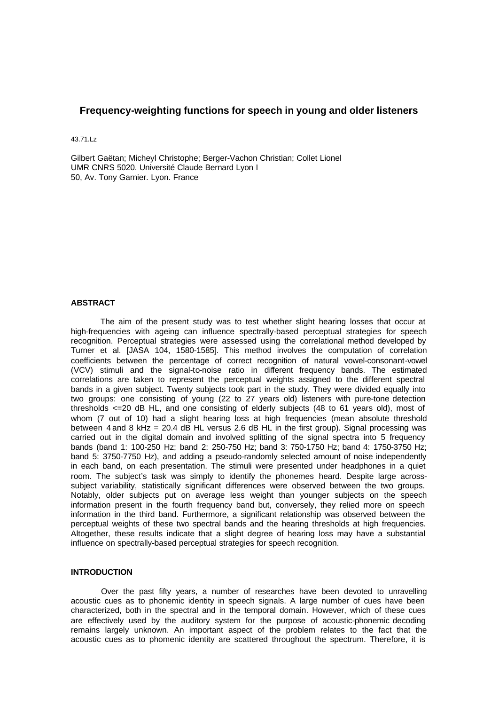# **Frequency-weighting functions for speech in young and older listeners**

43.71.Lz

Gilbert Gaëtan; Micheyl Christophe; Berger-Vachon Christian; Collet Lionel UMR CNRS 5020. Université Claude Bernard Lyon I 50, Av. Tony Garnier. Lyon. France

## **ABSTRACT**

The aim of the present study was to test whether slight hearing losses that occur at high-frequencies with ageing can influence spectrally-based perceptual strategies for speech recognition. Perceptual strategies were assessed using the correlational method developed by Turner et al. [JASA 104, 1580-1585]. This method involves the computation of correlation coefficients between the percentage of correct recognition of natural vowel-consonant-vowel (VCV) stimuli and the signal-to-noise ratio in different frequency bands. The estimated correlations are taken to represent the perceptual weights assigned to the different spectral bands in a given subject. Twenty subjects took part in the study. They were divided equally into two groups: one consisting of young (22 to 27 years old) listeners with pure-tone detection thresholds <=20 dB HL, and one consisting of elderly subjects (48 to 61 years old), most of whom (7 out of 10) had a slight hearing loss at high frequencies (mean absolute threshold between 4 and 8 kHz = 20.4 dB HL versus 2.6 dB HL in the first group). Signal processing was carried out in the digital domain and involved splitting of the signal spectra into 5 frequency bands (band 1: 100-250 Hz; band 2: 250-750 Hz; band 3: 750-1750 Hz; band 4: 1750-3750 Hz; band 5: 3750-7750 Hz), and adding a pseudo-randomly selected amount of noise independently in each band, on each presentation. The stimuli were presented under headphones in a quiet room. The subject's task was simply to identify the phonemes heard. Despite large acrosssubject variability, statistically significant differences were observed between the two groups. Notably, older subjects put on average less weight than younger subjects on the speech information present in the fourth frequency band but, conversely, they relied more on speech information in the third band. Furthermore, a significant relationship was observed between the perceptual weights of these two spectral bands and the hearing thresholds at high frequencies. Altogether, these results indicate that a slight degree of hearing loss may have a substantial influence on spectrally-based perceptual strategies for speech recognition.

## **INTRODUCTION**

Over the past fifty years, a number of researches have been devoted to unravelling acoustic cues as to phonemic identity in speech signals. A large number of cues have been characterized, both in the spectral and in the temporal domain. However, which of these cues are effectively used by the auditory system for the purpose of acoustic-phonemic decoding remains largely unknown. An important aspect of the problem relates to the fact that the acoustic cues as to phomenic identity are scattered throughout the spectrum. Therefore, it is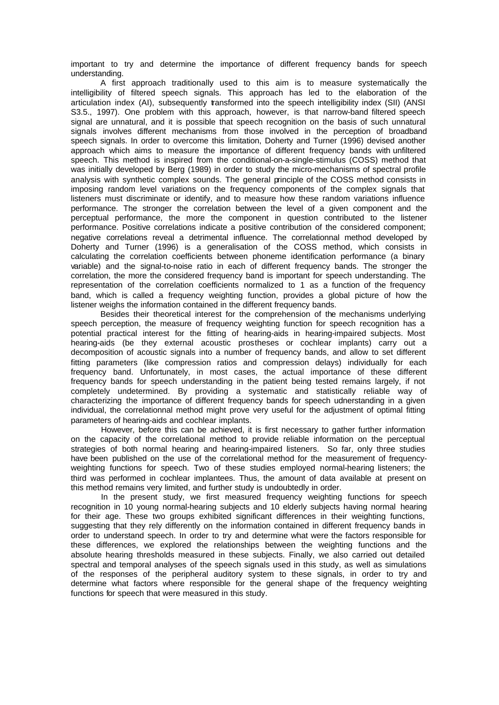important to try and determine the importance of different frequency bands for speech understanding.

A first approach traditionally used to this aim is to measure systematically the intelligibility of filtered speech signals. This approach has led to the elaboration of the articulation index (AI), subsequently transformed into the speech intelligibility index (SII) (ANSI S3.5., 1997). One problem with this approach, however, is that narrow-band filtered speech signal are unnatural, and it is possible that speech recognition on the basis of such unnatural signals involves different mechanisms from those involved in the perception of broadband speech signals. In order to overcome this limitation, Doherty and Turner (1996) devised another approach which aims to measure the importance of different frequency bands with unfiltered speech. This method is inspired from the conditional-on-a-single-stimulus (COSS) method that was initially developed by Berg (1989) in order to study the micro-mechanisms of spectral profile analysis with synthetic complex sounds. The general principle of the COSS method consists in imposing random level variations on the frequency components of the complex signals that listeners must discriminate or identify, and to measure how these random variations influence performance. The stronger the correlation between the level of a given component and the perceptual performance, the more the component in question contributed to the listener performance. Positive correlations indicate a positive contribution of the considered component; negative correlations reveal a detrimental influence. The correlationnal method developed by Doherty and Turner (1996) is a generalisation of the COSS method, which consists in calculating the correlation coefficients between phoneme identification performance (a binary variable) and the signal-to-noise ratio in each of different frequency bands. The stronger the correlation, the more the considered frequency band is important for speech understanding. The representation of the correlation coefficients normalized to 1 as a function of the frequency band, which is called a frequency weighting function, provides a global picture of how the listener weighs the information contained in the different frequency bands.

Besides their theoretical interest for the comprehension of the mechanisms underlying speech perception, the measure of frequency weighting function for speech recognition has a potential practical interest for the fitting of hearing-aids in hearing-impaired subjects. Most hearing-aids (be they external acoustic prostheses or cochlear implants) carry out a decomposition of acoustic signals into a number of frequency bands, and allow to set different fitting parameters (like compression ratios and compression delays) individually for each frequency band. Unfortunately, in most cases, the actual importance of these different frequency bands for speech understanding in the patient being tested remains largely, if not completely undetermined. By providing a systematic and statistically reliable way of characterizing the importance of different frequency bands for speech udnerstanding in a given individual, the correlationnal method might prove very useful for the adjustment of optimal fitting parameters of hearing-aids and cochlear implants.

However, before this can be achieved, it is first necessary to gather further information on the capacity of the correlational method to provide reliable information on the perceptual strategies of both normal hearing and hearing-impaired listeners. So far, only three studies have been published on the use of the correlational method for the measurement of frequencyweighting functions for speech. Two of these studies employed normal-hearing listeners; the third was performed in cochlear implantees. Thus, the amount of data available at present on this method remains very limited, and further study is undoubtedly in order.

In the present study, we first measured frequency weighting functions for speech recognition in 10 young normal-hearing subjects and 10 elderly subjects having normal hearing for their age. These two groups exhibited significant differences in their weighting functions, suggesting that they rely differently on the information contained in different frequency bands in order to understand speech. In order to try and determine what were the factors responsible for these differences, we explored the relationships between the weighting functions and the absolute hearing thresholds measured in these subjects. Finally, we also carried out detailed spectral and temporal analyses of the speech signals used in this study, as well as simulations of the responses of the peripheral auditory system to these signals, in order to try and determine what factors where responsible for the general shape of the frequency weighting functions for speech that were measured in this study.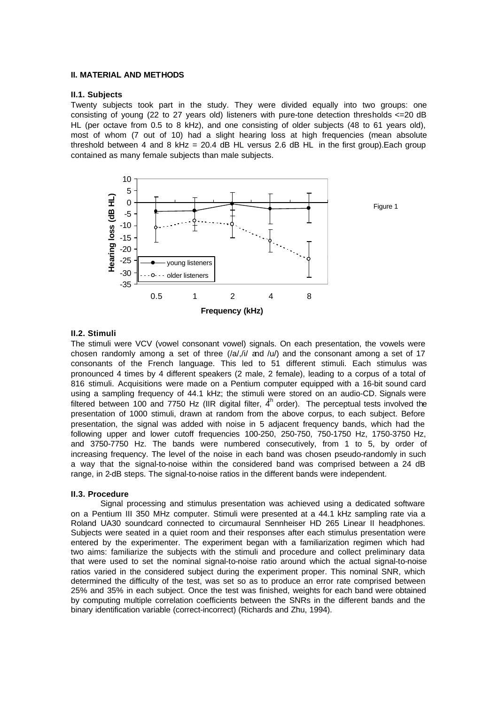### **II. MATERIAL AND METHODS**

### **II.1. Subjects**

Twenty subjects took part in the study. They were divided equally into two groups: one consisting of young (22 to 27 years old) listeners with pure-tone detection thresholds <=20 dB HL (per octave from 0.5 to 8 kHz), and one consisting of older subjects (48 to 61 years old), most of whom (7 out of 10) had a slight hearing loss at high frequencies (mean absolute threshold between 4 and 8 kHz = 20.4 dB HL versus 2.6 dB HL in the first group). Each group contained as many female subjects than male subjects.



## **II.2. Stimuli**

The stimuli were VCV (vowel consonant vowel) signals. On each presentation, the vowels were chosen randomly among a set of three  $(|a|, |i|)$  and  $|u|$ ) and the consonant among a set of 17 consonants of the French language. This led to 51 different stimuli. Each stimulus was pronounced 4 times by 4 different speakers (2 male, 2 female), leading to a corpus of a total of 816 stimuli. Acquisitions were made on a Pentium computer equipped with a 16-bit sound card using a sampling frequency of 44.1 kHz; the stimuli were stored on an audio-CD. Signals were filtered between 100 and 7750 Hz (IIR digital filter,  $4<sup>h</sup>$  order). The perceptual tests involved the presentation of 1000 stimuli, drawn at random from the above corpus, to each subject. Before presentation, the signal was added with noise in 5 adjacent frequency bands, which had the following upper and lower cutoff frequencies 100-250, 250-750, 750-1750 Hz, 1750-3750 Hz, and 3750-7750 Hz. The bands were numbered consecutively, from 1 to 5, by order of increasing frequency. The level of the noise in each band was chosen pseudo-randomly in such a way that the signal-to-noise within the considered band was comprised between a 24 dB range, in 2-dB steps. The signal-to-noise ratios in the different bands were independent.

#### **II.3. Procedure**

Signal processing and stimulus presentation was achieved using a dedicated software on a Pentium III 350 MHz computer. Stimuli were presented at a 44.1 kHz sampling rate via a Roland UA30 soundcard connected to circumaural Sennheiser HD 265 Linear II headphones. Subjects were seated in a quiet room and their responses after each stimulus presentation were entered by the experimenter. The experiment began with a familiarization regimen which had two aims: familiarize the subjects with the stimuli and procedure and collect preliminary data that were used to set the nominal signal-to-noise ratio around which the actual signal-to-noise ratios varied in the considered subject during the experiment proper. This nominal SNR, which determined the difficulty of the test, was set so as to produce an error rate comprised between 25% and 35% in each subject. Once the test was finished, weights for each band were obtained by computing multiple correlation coefficients between the SNRs in the different bands and the binary identification variable (correct-incorrect) (Richards and Zhu, 1994).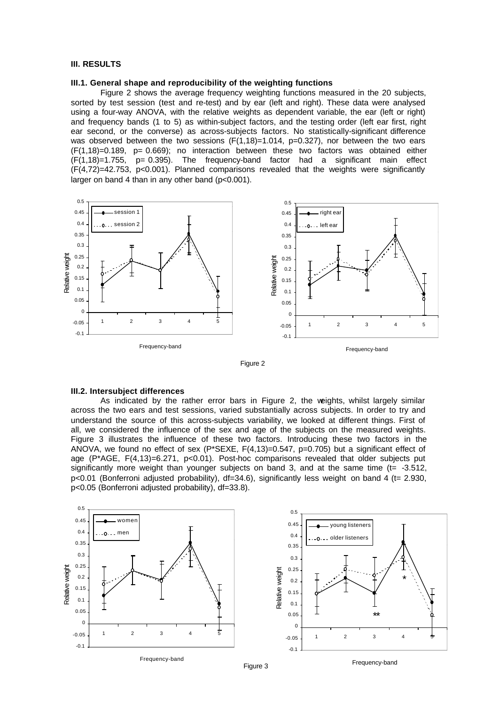## **III. RESULTS**

## **III.1. General shape and reproducibility of the weighting functions**

Figure 2 shows the average frequency weighting functions measured in the 20 subjects, sorted by test session (test and re-test) and by ear (left and right). These data were analysed using a four-way ANOVA, with the relative weights as dependent variable, the ear (left or right) and frequency bands (1 to 5) as within-subject factors, and the testing order (left ear first, right ear second, or the converse) as across-subjects factors. No statistically-significant difference was observed between the two sessions  $(F(1,18)=1.014, p=0.327)$ , nor between the two ears (F(1,18)=0.189, p= 0.669); no interaction between these two factors was obtained either  $(F(1,18)=1.755, p= 0.395)$ . The frequency-band factor had a significant main effect (F(4,72)=42.753, p<0.001). Planned comparisons revealed that the weights were significantly larger on band 4 than in any other band (p<0.001).





#### **III.2. Intersubject differences**

As indicated by the rather error bars in Figure 2, the weights, whilst largely similar across the two ears and test sessions, varied substantially across subjects. In order to try and understand the source of this across-subjects variability, we looked at different things. First of all, we considered the influence of the sex and age of the subjects on the measured weights. Figure 3 illustrates the influence of these two factors. Introducing these two factors in the ANOVA, we found no effect of sex (P\*SEXE,  $F(4,13)=0.547$ , p=0.705) but a significant effect of age (P\*AGE, F(4,13)=6.271, p<0.01). Post-hoc comparisons revealed that older subjects put significantly more weight than younger subjects on band 3, and at the same time  $(tz - 3.512)$ , p<0.01 (Bonferroni adjusted probability), df=34.6), significantly less weight on band 4 (t= 2.930, p<0.05 (Bonferroni adjusted probability), df=33.8).



Figure 3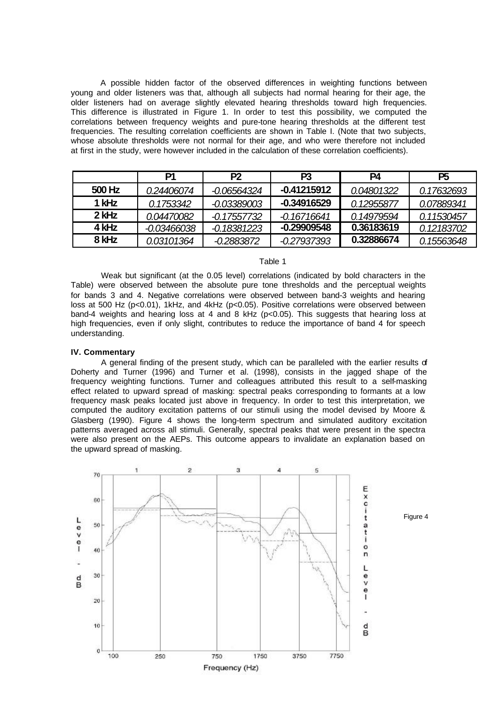A possible hidden factor of the observed differences in weighting functions between young and older listeners was that, although all subjects had normal hearing for their age, the older listeners had on average slightly elevated hearing thresholds toward high frequencies. This difference is illustrated in Figure 1. In order to test this possibility, we computed the correlations between frequency weights and pure-tone hearing thresholds at the different test frequencies. The resulting correlation coefficients are shown in Table I. (Note that two subjects, whose absolute thresholds were not normal for their age, and who were therefore not included at first in the study, were however included in the calculation of these correlation coefficients).

|         | P1          | P <sub>2</sub> | P3            | P4         | P <sub>5</sub> |
|---------|-------------|----------------|---------------|------------|----------------|
| 500 Hz  | 0.24406074  | $-0.06564324$  | $-0.41215912$ | 0.04801322 | 0.17632693     |
| 1 kHz   | 0.1753342   | $-0.03389003$  | $-0.34916529$ | 0.12955877 | 0.07889341     |
| $2$ kHz | 0.04470082  | -0.17557732    | $-0.16716641$ | 0.14979594 | 0.11530457     |
| 4 kHz   | -0.03466038 | $-0.18381223$  | $-0.29909548$ | 0.36183619 | 0.12183702     |
| 8 kHz   | 0.03101364  | -0.2883872     | -0.27937393   | 0.32886674 | 0.15563648     |

## Table 1

Weak but significant (at the 0.05 level) correlations (indicated by bold characters in the Table) were observed between the absolute pure tone thresholds and the perceptual weights for bands 3 and 4. Negative correlations were observed between band-3 weights and hearing loss at 500 Hz (p<0.01), 1kHz, and 4kHz (p<0.05). Positive correlations were observed between band-4 weights and hearing loss at 4 and 8 kHz ( $p<0.05$ ). This suggests that hearing loss at high frequencies, even if only slight, contributes to reduce the importance of band 4 for speech understanding.

#### **IV. Commentary**

A general finding of the present study, which can be paralleled with the earlier results of Doherty and Turner (1996) and Turner et al. (1998), consists in the jagged shape of the frequency weighting functions. Turner and colleagues attributed this result to a self-masking effect related to upward spread of masking: spectral peaks corresponding to formants at a low frequency mask peaks located just above in frequency. In order to test this interpretation, we computed the auditory excitation patterns of our stimuli using the model devised by Moore & Glasberg (1990). Figure 4 shows the long-term spectrum and simulated auditory excitation patterns averaged across all stimuli. Generally, spectral peaks that were present in the spectra were also present on the AEPs. This outcome appears to invalidate an explanation based on the upward spread of masking.



Figure 4